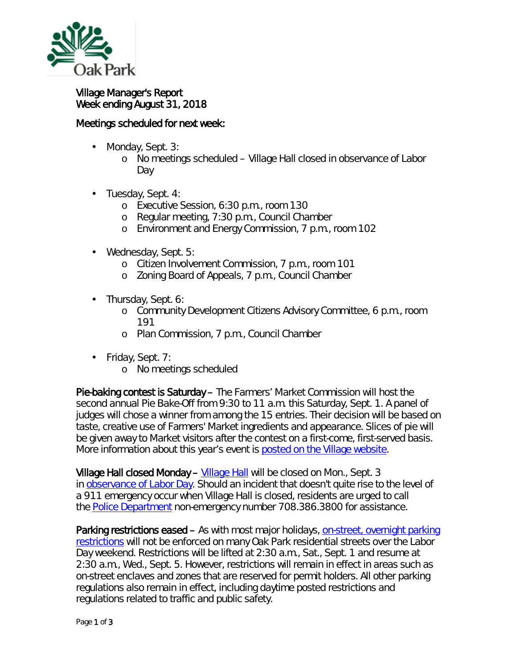

## Village Manager's Report Week ending August 31, 2018

## Meetings scheduled for next week:

- ä, Monday, Sept. 3:
	- o No meetings scheduled Village Hall closed in observance of Labor Day
- Tuesday, Sept. 4:
	- o Executive Session, 6:30 p.m., room 130
	- o Regular meeting, 7:30 p.m., Council Chamber
	- o Environment and Energy Commission, 7 p.m., room 102
- Wednesday, Sept. 5:
	- o Citizen Involvement Commission, 7 p.m., room 101
	- o Zoning Board of Appeals, 7 p.m., Council Chamber
- . Thursday, Sept. 6:
	- o Community Development Citizens Advisory Committee, 6 p.m., room 191
	- o Plan Commission, 7 p.m., Council Chamber
- Friday, Sept. 7:  $\mathbf{r} = \mathbf{r}$ 
	- o No meetings scheduled

Pie-baking contest is Saturday – The Farmers' Market Commission will host the second annual *Pie Bake-Off* from 9:30 to 11 a.m. this Saturday, Sept. 1. A panel of judges will chose a winner from among the 15 entries. Their decision will be based on taste, creative use of Farmers' Market ingredients and appearance. Slices of pie will be given away to Market visitors after the contest on a first-come, first-served basis. More information about this year's event is [posted on the Village website.](https://www.oak-park.us/news/pie-bake-returns-farmers-market)

**Village Hall closed Monday – [Village Hall](http://www.oak-park.us/your-government/village-manager/village-hall)** will be closed on Mon., Sept. 3 in [observance of Labor Day.](https://www.dol.gov/general/laborday/history) Should an incident that doesn't quite rise to the level of a 911 emergency occur when Village Hall is closed, residents are urged to call the [Police Department](http://www.oak-park.us/village-services/police-department) non-emergency number 708.386.3800 for assistance.

Parking restrictions eased – As with most major holidays, [on-street, overnight](http://www.oak-park.us/village-services/parking/parking-guidelines-restrictions) parking [restrictions](http://www.oak-park.us/village-services/parking/parking-guidelines-restrictions) will not be enforced on many Oak Park residential streets over the Labor Day weekend. Restrictions will be lifted at 2:30 a.m., Sat., Sept. 1 and resume at 2:30 a.m., Wed., Sept. 5. However, restrictions will remain in effect in areas such as on-street enclaves and zones that are reserved for permit holders. All other parking regulations also remain in effect, including daytime posted restrictions and regulations related to traffic and public safety.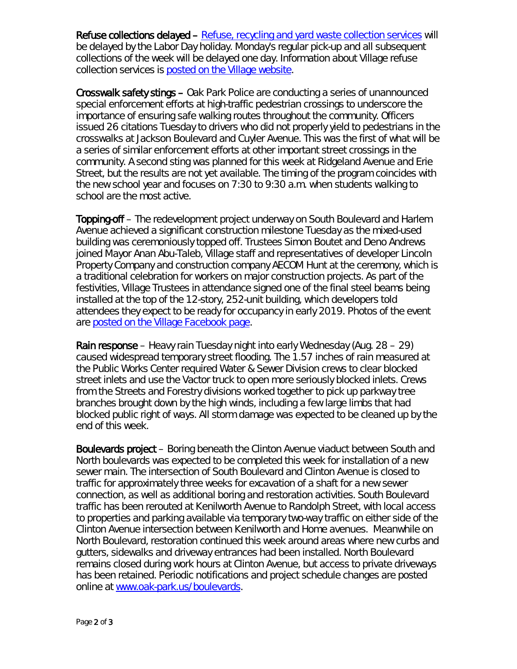Refuse collections delayed – [Refuse, recycling and yard waste collection services](http://www.oak-park.us/village-services/refuse-recycling) will be delayed by the Labor Day holiday. Monday's regular pick-up and all subsequent collections of the week will be delayed one day. Information about Village refuse collection services is [posted on the Village website.](https://www.oak-park.us/village-services/refuse-recycling)

Crosswalk safety stings – Oak Park Police are conducting a series of unannounced special enforcement efforts at high-traffic pedestrian crossings to underscore the importance of ensuring safe walking routes throughout the community. Officers issued 26 citations Tuesday to drivers who did not properly yield to pedestrians in the crosswalks at Jackson Boulevard and Cuyler Avenue. This was the first of what will be a series of similar enforcement efforts at other important street crossings in the community. A second sting was planned for this week at Ridgeland Avenue and Erie Street, but the results are not yet available. The timing of the program coincides with the new school year and focuses on 7:30 to 9:30 a.m. when students walking to school are the most active.

Topping-off – The redevelopment project underway on South Boulevard and Harlem Avenue achieved a significant construction milestone Tuesday as the mixed-used building was ceremoniously topped off. Trustees Simon Boutet and Deno Andrews joined Mayor Anan Abu-Taleb, Village staff and representatives of developer Lincoln Property Company and construction company AECOM Hunt at the ceremony, which is a traditional celebration for workers on major construction projects. As part of the festivities, Village Trustees in attendance signed one of the final steel beams being installed at the top of the 12-story, 252-unit building, which developers told attendees they expect to be ready for occupancy in early 2019. Photos of the event are [posted on the Village Facebook page.](https://www.facebook.com/vopnews/photos/pcb.10155774623040878/10155774605135878/?type=3&theater)

**Rain response** – Heavy rain Tuesday night into early Wednesday (Aug.  $28 - 29$ ) caused widespread temporary street flooding. The 1.57 inches of rain measured at the Public Works Center required Water & Sewer Division crews to clear blocked street inlets and use the Vactor truck to open more seriously blocked inlets. Crews from the Streets and Forestry divisions worked together to pick up parkway tree branches brought down by the high winds, including a few large limbs that had blocked public right of ways. All storm damage was expected to be cleaned up by the end of this week.

Boulevards project – Boring beneath the Clinton Avenue viaduct between South and North boulevards was expected to be completed this week for installation of a new sewer main. The intersection of South Boulevard and Clinton Avenue is closed to traffic for approximately three weeks for excavation of a shaft for a new sewer connection, as well as additional boring and restoration activities. South Boulevard traffic has been rerouted at Kenilworth Avenue to Randolph Street, with local access to properties and parking available via temporary two-way traffic on either side of the Clinton Avenue intersection between Kenilworth and Home avenues. Meanwhile on North Boulevard, restoration continued this week around areas where new curbs and gutters, sidewalks and driveway entrances had been installed. North Boulevard remains closed during work hours at Clinton Avenue, but access to private driveways has been retained. Periodic notifications and project schedule changes are posted online at [www.oak-park.us/boulevards.](http://www.oak-park.us/boulevards)